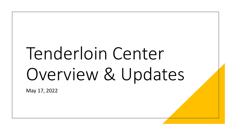# Tenderloin Center Overview & Updates

May 17, 2022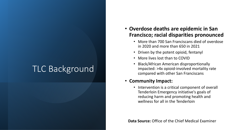### TLC Background

- **Overdose deaths are epidemic in San Francisco; racial disparities pronounced**
	- More than 700 San Franciscans died of overdose in 2020 and more than 650 in 2021
	- Driven by the potent opioid, fentanyl
	- More lives lost than to COVID
	- Black/African American disproportionally impacted: >4x opioid-involved mortality rate compared with other San Franciscans

### • **Community Impact:**

• Intervention is a critical component of overall Tenderloin Emergency initiative's goals of reducing harm and promoting health and wellness for all in the Tenderloin

**Data Source:** Office of the Chief Medical Examiner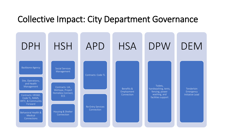### Collective Impact: City Department Governance

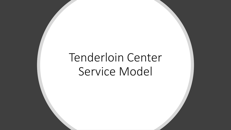## Tenderloin Center Service Model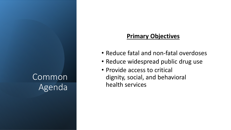## Common Agenda

### **Primary Objectives**

- Reduce fatal and non-fatal overdoses
- Reduce widespread public drug use
- Provide access to critical dignity, social, and behavioral health services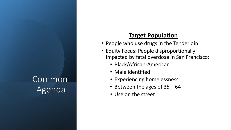### Common Agenda

### **Target Population**

- People who use drugs in the Tenderloin
- Equity Focus: People disproportionally impacted by fatal overdose in San Francisco:
	- Black/African-American
	- Male identified
	- Experiencing homelessness
	- Between the ages of 35 64
	- Use on the street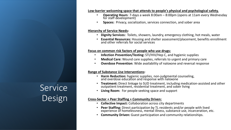#### **Low-barrier welcoming space that attends to people's physical and psychological safety.**

- **Operating Hours**: 7-days a week 8:00am 8:00pm (opens at 11am every Wednesday for staff development)
- **Spaces:** Privacy, socialization, services connection, and sober area

#### **Hierarchy of Service Needs:**

- **Dignity Services:** Toilets, showers, laundry, emergency clothing, hot meals, water
- **Essential Resources:** Housing and shelter assessment/placement, benefits enrollment and other referrals for social services

#### **Focus on common risk factors of people who use drugs:**

- **Infection Prevention/Testing:** STI/HIV/Hep C, and hygienic supplies
- **Medical Care:** Wound care supplies, referrals to urgent and primary care
- **Overdose Prevention**: Wide availability of naloxone and reversal response

#### **Range of Substance Use Interventions:**

- **Harm Reduction:** hygienic supplies, non-judgmental counseling, and overdose education and response with naloxone
- **Treatment:** Direct linkage to SUD treatment, including medication-assisted and other outpatient treatment, residential treatment, and sober living
- **Living Room:** For people seeking space and support

#### **Cross-Sector + Peer Staffing + Community Driven:**

- **Collective Impact:** Collaboration across city departments
- **Peer Staffing:** Direct participation by TL residents and/or people with lived experience of homelessness, mental illness, substance use, incarceration, etc.
- **Community Driven:** Guest participation and community relationships.

Service **Design**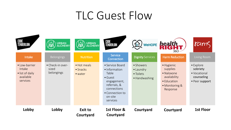## TLC Guest Flow

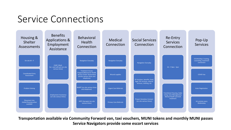### Service Connections



**Transportation available via Community Forward van, taxi vouchers, MUNI tokens and monthly MUNI passes Service Navigators provide some escort services**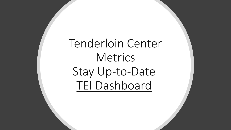Tenderloin Center Metrics Stay Up-to-Date [TEI Dashboard](https://sf.gov/resource/2022/tenderloin-emergency-initiative-data-and-reports)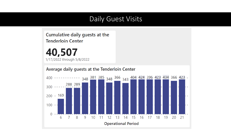### Daily Guest Visits

Cumulative daily guests at the **Tenderloin Center** 

40,507 1/17/2022 through 5/8/2022

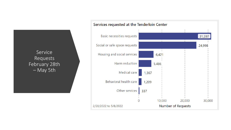Service Requests February 28th – May 5th

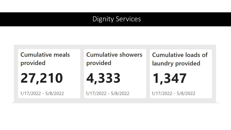### **Dignity Services**

| <b>Cumulative meals</b> |  |
|-------------------------|--|
| provided                |  |

27,210

1/17/2022 - 5/8/2022

**Cumulative showers** provided

4,333

1/17/2022 - 5/8/2022

**Cumulative loads of** laundry provided

1,347

1/17/2022 - 5/8/2022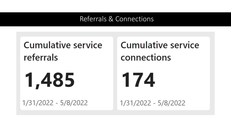### Referrals & Connections

## **Cumulative service** referrals

1,485

1/31/2022 - 5/8/2022

**Cumulative service** connections

# 174

1/31/2022 - 5/8/2022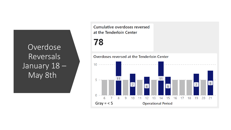Overdose **Reversals** January 18-May 8th

**Cumulative overdoses reversed** at the Tenderloin Center

78

#### Overdoses reversed at the Tenderloin Center

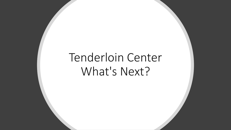## Tenderloin Center What's Next?